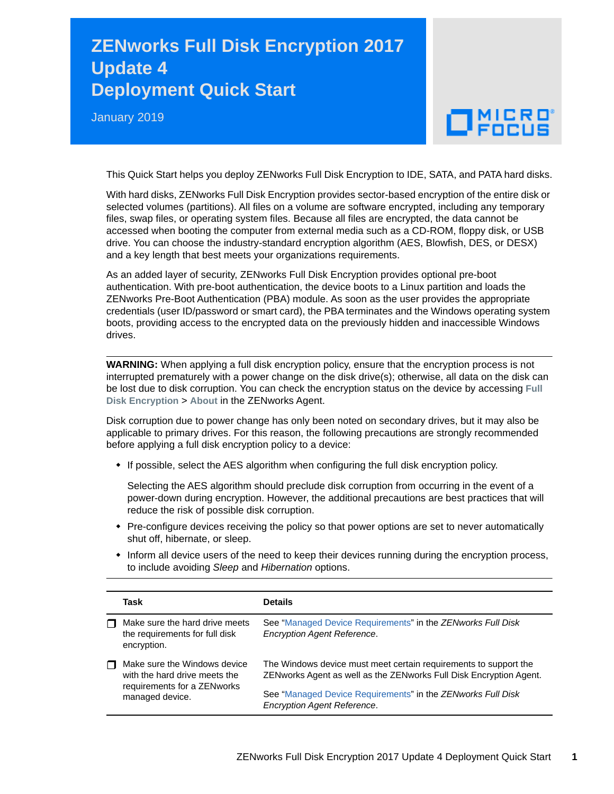## **ZENworks Full Disk Encryption 2017 Update 4 Deployment Quick Start**

January 2019

## $\Box$ MICRO

This Quick Start helps you deploy ZENworks Full Disk Encryption to IDE, SATA, and PATA hard disks.

With hard disks, ZENworks Full Disk Encryption provides sector-based encryption of the entire disk or selected volumes (partitions). All files on a volume are software encrypted, including any temporary files, swap files, or operating system files. Because all files are encrypted, the data cannot be accessed when booting the computer from external media such as a CD-ROM, floppy disk, or USB drive. You can choose the industry-standard encryption algorithm (AES, Blowfish, DES, or DESX) and a key length that best meets your organizations requirements.

As an added layer of security, ZENworks Full Disk Encryption provides optional pre-boot authentication. With pre-boot authentication, the device boots to a Linux partition and loads the ZENworks Pre-Boot Authentication (PBA) module. As soon as the user provides the appropriate credentials (user ID/password or smart card), the PBA terminates and the Windows operating system boots, providing access to the encrypted data on the previously hidden and inaccessible Windows drives.

**WARNING:** When applying a full disk encryption policy, ensure that the encryption process is not interrupted prematurely with a power change on the disk drive(s); otherwise, all data on the disk can be lost due to disk corruption. You can check the encryption status on the device by accessing **Full Disk Encryption** > **About** in the ZENworks Agent.

Disk corruption due to power change has only been noted on secondary drives, but it may also be applicable to primary drives. For this reason, the following precautions are strongly recommended before applying a full disk encryption policy to a device:

• If possible, select the AES algorithm when configuring the full disk encryption policy.

Selecting the AES algorithm should preclude disk corruption from occurring in the event of a power-down during encryption. However, the additional precautions are best practices that will reduce the risk of possible disk corruption.

- Pre-configure devices receiving the policy so that power options are set to never automatically shut off, hibernate, or sleep.
- $\bullet$  Inform all device users of the need to keep their devices running during the encryption process, to include avoiding *Sleep* and *Hibernation* options.

|   | Task                                                                                                            | <b>Details</b>                                                                                                                         |
|---|-----------------------------------------------------------------------------------------------------------------|----------------------------------------------------------------------------------------------------------------------------------------|
|   | Make sure the hard drive meets<br>the requirements for full disk<br>encryption.                                 | See "Managed Device Requirements" in the ZENworks Full Disk<br><b>Encryption Agent Reference.</b>                                      |
| П | Make sure the Windows device<br>with the hard drive meets the<br>requirements for a ZENworks<br>managed device. | The Windows device must meet certain requirements to support the<br>ZENworks Agent as well as the ZENworks Full Disk Encryption Agent. |
|   |                                                                                                                 | See "Managed Device Requirements" in the ZENworks Full Disk<br><b>Encryption Agent Reference.</b>                                      |